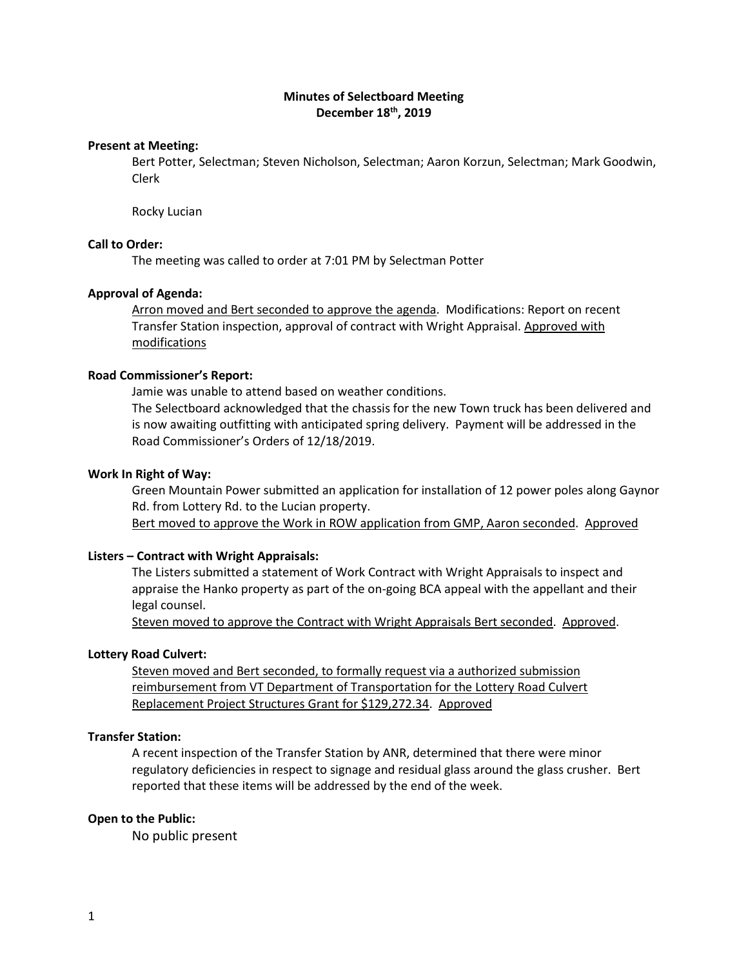# **Minutes of Selectboard Meeting December 18th, 2019**

#### **Present at Meeting:**

Bert Potter, Selectman; Steven Nicholson, Selectman; Aaron Korzun, Selectman; Mark Goodwin, Clerk

Rocky Lucian

# **Call to Order:**

The meeting was called to order at 7:01 PM by Selectman Potter

#### **Approval of Agenda:**

Arron moved and Bert seconded to approve the agenda. Modifications: Report on recent Transfer Station inspection, approval of contract with Wright Appraisal. Approved with modifications

### **Road Commissioner's Report:**

Jamie was unable to attend based on weather conditions.

The Selectboard acknowledged that the chassis for the new Town truck has been delivered and is now awaiting outfitting with anticipated spring delivery. Payment will be addressed in the Road Commissioner's Orders of 12/18/2019.

#### **Work In Right of Way:**

Green Mountain Power submitted an application for installation of 12 power poles along Gaynor Rd. from Lottery Rd. to the Lucian property.

Bert moved to approve the Work in ROW application from GMP, Aaron seconded. Approved

#### **Listers – Contract with Wright Appraisals:**

The Listers submitted a statement of Work Contract with Wright Appraisals to inspect and appraise the Hanko property as part of the on-going BCA appeal with the appellant and their legal counsel.

Steven moved to approve the Contract with Wright Appraisals Bert seconded. Approved.

### **Lottery Road Culvert:**

Steven moved and Bert seconded, to formally request via a authorized submission reimbursement from VT Department of Transportation for the Lottery Road Culvert Replacement Project Structures Grant for \$129,272.34. Approved

#### **Transfer Station:**

A recent inspection of the Transfer Station by ANR, determined that there were minor regulatory deficiencies in respect to signage and residual glass around the glass crusher. Bert reported that these items will be addressed by the end of the week.

### **Open to the Public:**

No public present